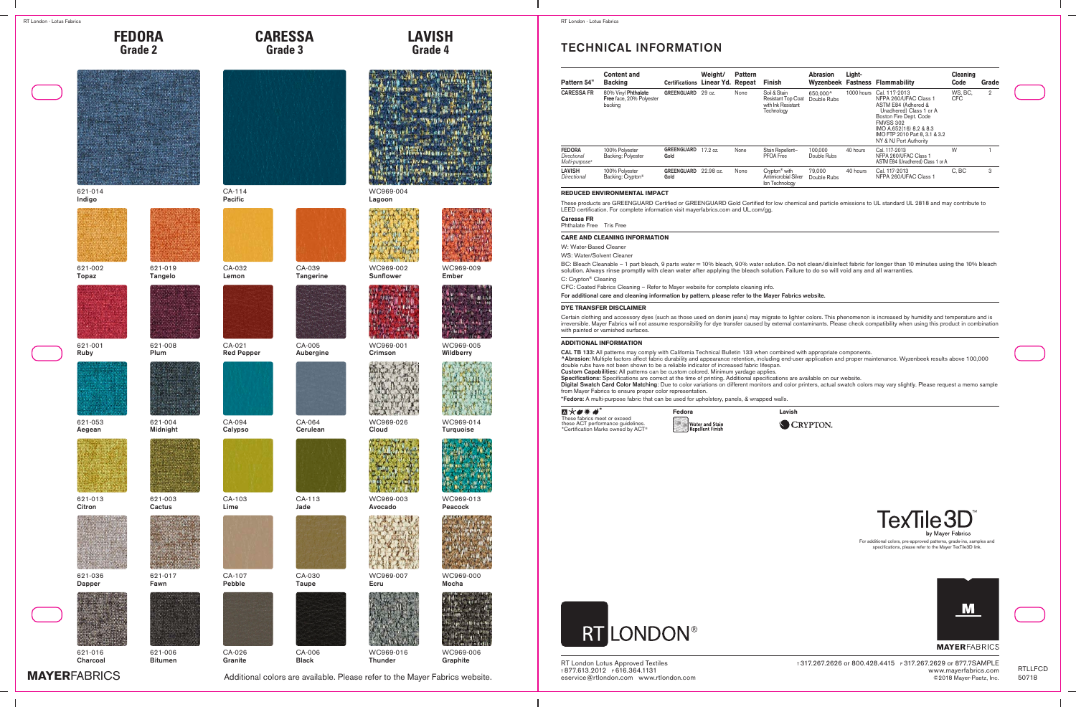



621-019 Tangelo

621-008 Plum

621-004 Midnight

621-003 **Cactus** 

621-017 Fawn

621-014 Indigo



621-002 Topaz







621-001 Ruby



621-053 Aegean









621-036 Dapper



621-016 **Charcoal** 



621-006 Bitumen



CA-039 Tangerine

CA-005 Aubergine

CA-113 Jade

CA-030 Taupe

CA-006 Black

**[CARESSA](http://tex3d.mayerfabrics.com:8088/?class=CAS)**

CA-114 Pacific



CA-032 Lemon



CA-021 Red Pepper



CA-094 Calypso



Lime



CA-107 Pebble



**Granite** 







WC969-004 Lagoon



WC969-002 Sunflower



WC969-001 Crimson



WC969-026 Cloud



WC969-003 Avocado



WC969-007 Ecru



WC969-016 **Thunder** 



WC969-009 Ember



WC969-005 **Wildberry** 



WC969-014 Turquoise



WC969-013 Peacock



WC969-000 Mocha



WC969-006 Graphite

**MAYER[FABRICS](https://www.mayerfabrics.com)** [Additional colors are available. Please refer to the Mayer Fabrics website.](https://www.mayerfabrics.com)



CA-103





CA-026